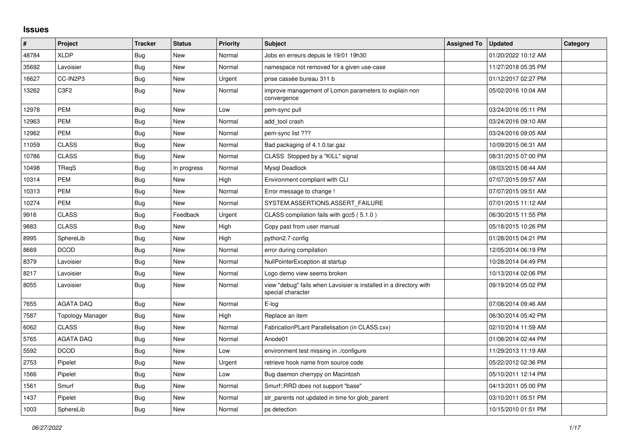## **Issues**

| #     | Project          | <b>Tracker</b> | <b>Status</b> | <b>Priority</b> | <b>Subject</b>                                                                          | <b>Assigned To</b> | <b>Updated</b>      | Category |
|-------|------------------|----------------|---------------|-----------------|-----------------------------------------------------------------------------------------|--------------------|---------------------|----------|
| 48784 | <b>XLDP</b>      | <b>Bug</b>     | <b>New</b>    | Normal          | Jobs en erreurs depuis le 19/01 19h30                                                   |                    | 01/20/2022 10:12 AM |          |
| 35692 | Lavoisier        | Bug            | New           | Normal          | namespace not removed for a given use-case                                              |                    | 11/27/2018 05:35 PM |          |
| 16627 | CC-IN2P3         | <b>Bug</b>     | <b>New</b>    | Urgent          | prise cassée bureau 311 b                                                               |                    | 01/12/2017 02:27 PM |          |
| 13262 | C3F2             | Bug            | New           | Normal          | improve management of Lomon parameters to explain non<br>convergence                    |                    | 05/02/2016 10:04 AM |          |
| 12978 | <b>PEM</b>       | Bug            | New           | Low             | pem-sync pull                                                                           |                    | 03/24/2016 05:11 PM |          |
| 12963 | <b>PEM</b>       | Bug            | <b>New</b>    | Normal          | add tool crash                                                                          |                    | 03/24/2016 09:10 AM |          |
| 12962 | <b>PEM</b>       | <b>Bug</b>     | New           | Normal          | pem-sync list ???                                                                       |                    | 03/24/2016 09:05 AM |          |
| 11059 | <b>CLASS</b>     | Bug            | New           | Normal          | Bad packaging of 4.1.0.tar.gaz                                                          |                    | 10/09/2015 06:31 AM |          |
| 10786 | <b>CLASS</b>     | <b>Bug</b>     | <b>New</b>    | Normal          | CLASS Stopped by a "KILL" signal                                                        |                    | 08/31/2015 07:00 PM |          |
| 10498 | TReqS            | Bug            | In progress   | Normal          | Mysql Deadlock                                                                          |                    | 08/03/2015 08:44 AM |          |
| 10314 | PEM              | Bug            | New           | High            | Environment compliant with CLI                                                          |                    | 07/07/2015 09:57 AM |          |
| 10313 | <b>PEM</b>       | Bug            | <b>New</b>    | Normal          | Error message to change !                                                               |                    | 07/07/2015 09:51 AM |          |
| 10274 | PEM              | Bug            | <b>New</b>    | Normal          | SYSTEM.ASSERTIONS.ASSERT_FAILURE                                                        |                    | 07/01/2015 11:12 AM |          |
| 9916  | <b>CLASS</b>     | Bug            | Feedback      | Urgent          | CLASS compilation fails with gcc5 (5.1.0)                                               |                    | 06/30/2015 11:55 PM |          |
| 9883  | <b>CLASS</b>     | Bug            | New           | High            | Copy past from user manual                                                              |                    | 05/18/2015 10:26 PM |          |
| 8995  | SphereLib        | <b>Bug</b>     | <b>New</b>    | High            | python2.7-config                                                                        |                    | 01/28/2015 04:21 PM |          |
| 8669  | <b>DCOD</b>      | <b>Bug</b>     | New           | Normal          | error during compilation                                                                |                    | 12/05/2014 06:19 PM |          |
| 8379  | Lavoisier        | <b>Bug</b>     | <b>New</b>    | Normal          | NullPointerException at startup                                                         |                    | 10/28/2014 04:49 PM |          |
| 8217  | Lavoisier        | <b>Bug</b>     | <b>New</b>    | Normal          | Logo demo view seems broken                                                             |                    | 10/13/2014 02:06 PM |          |
| 8055  | Lavoisier        | Bug            | New           | Normal          | view "debug" fails when Lavoisier is installed in a directory with<br>special character |                    | 09/19/2014 05:02 PM |          |
| 7655  | <b>AGATA DAQ</b> | Bug            | <b>New</b>    | Normal          | E-log                                                                                   |                    | 07/08/2014 09:46 AM |          |
| 7587  | Topology Manager | <b>Bug</b>     | New           | High            | Replace an item                                                                         |                    | 06/30/2014 05:42 PM |          |
| 6062  | <b>CLASS</b>     | <b>Bug</b>     | New           | Normal          | FabricationPLant Parallelisation (in CLASS.cxx)                                         |                    | 02/10/2014 11:59 AM |          |
| 5765  | <b>AGATA DAQ</b> | Bug            | New           | Normal          | Anode01                                                                                 |                    | 01/08/2014 02:44 PM |          |
| 5592  | <b>DCOD</b>      | <b>Bug</b>     | New           | Low             | environment test missing in ./configure                                                 |                    | 11/29/2013 11:19 AM |          |
| 2753  | Pipelet          | <b>Bug</b>     | New           | Urgent          | retrieve hook name from source code                                                     |                    | 05/22/2012 02:36 PM |          |
| 1566  | Pipelet          | <b>Bug</b>     | New           | Low             | Bug daemon cherrypy on Macintosh                                                        |                    | 05/10/2011 12:14 PM |          |
| 1561  | Smurf            | <b>Bug</b>     | New           | Normal          | Smurf::RRD does not support "base"                                                      |                    | 04/13/2011 05:00 PM |          |
| 1437  | Pipelet          | Bug            | <b>New</b>    | Normal          | str_parents not updated in time for glob_parent                                         |                    | 03/10/2011 05:51 PM |          |
| 1003  | SphereLib        | Bug            | New           | Normal          | ps detection                                                                            |                    | 10/15/2010 01:51 PM |          |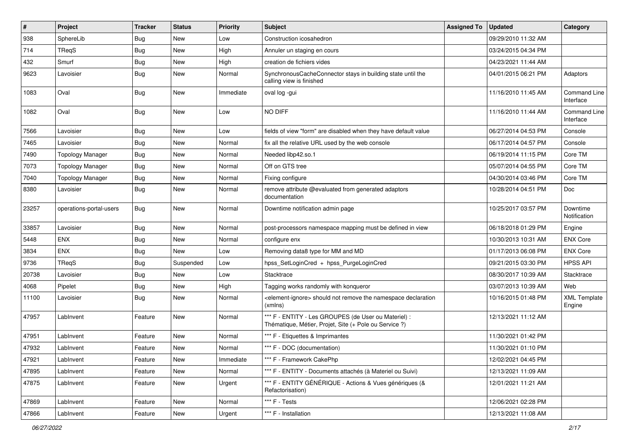| #     | Project                 | <b>Tracker</b> | <b>Status</b> | <b>Priority</b> | Subject                                                                                                        | <b>Assigned To</b> | <b>Updated</b>      | Category                      |
|-------|-------------------------|----------------|---------------|-----------------|----------------------------------------------------------------------------------------------------------------|--------------------|---------------------|-------------------------------|
| 938   | SphereLib               | <b>Bug</b>     | New           | Low             | Construction icosahedron                                                                                       |                    | 09/29/2010 11:32 AM |                               |
| 714   | TReqS                   | <b>Bug</b>     | New           | High            | Annuler un staging en cours                                                                                    |                    | 03/24/2015 04:34 PM |                               |
| 432   | Smurf                   | <b>Bug</b>     | New           | High            | creation de fichiers vides                                                                                     |                    | 04/23/2021 11:44 AM |                               |
| 9623  | Lavoisier               | Bug            | New           | Normal          | SynchronousCacheConnector stays in building state until the<br>calling view is finished                        |                    | 04/01/2015 06:21 PM | Adaptors                      |
| 1083  | Oval                    | Bug            | New           | Immediate       | oval log -gui                                                                                                  |                    | 11/16/2010 11:45 AM | Command Line<br>Interface     |
| 1082  | Oval                    | <b>Bug</b>     | New           | Low             | NO DIFF                                                                                                        |                    | 11/16/2010 11:44 AM | Command Line<br>Interface     |
| 7566  | Lavoisier               | <b>Bug</b>     | <b>New</b>    | Low             | fields of view "form" are disabled when they have default value                                                |                    | 06/27/2014 04:53 PM | Console                       |
| 7465  | Lavoisier               | <b>Bug</b>     | New           | Normal          | fix all the relative URL used by the web console                                                               |                    | 06/17/2014 04:57 PM | Console                       |
| 7490  | <b>Topology Manager</b> | <b>Bug</b>     | New           | Normal          | Needed libp42.so.1                                                                                             |                    | 06/19/2014 11:15 PM | Core TM                       |
| 7073  | <b>Topology Manager</b> | <b>Bug</b>     | New           | Normal          | Off on GTS tree                                                                                                |                    | 05/07/2014 04:55 PM | Core TM                       |
| 7040  | <b>Topology Manager</b> | Bug            | New           | Normal          | Fixing configure                                                                                               |                    | 04/30/2014 03:46 PM | Core TM                       |
| 8380  | Lavoisier               | <b>Bug</b>     | New           | Normal          | remove attribute @evaluated from generated adaptors<br>documentation                                           |                    | 10/28/2014 04:51 PM | Doc                           |
| 23257 | operations-portal-users | Bug            | New           | Normal          | Downtime notification admin page                                                                               |                    | 10/25/2017 03:57 PM | Downtime<br>Notification      |
| 33857 | Lavoisier               | Bug            | New           | Normal          | post-processors namespace mapping must be defined in view                                                      |                    | 06/18/2018 01:29 PM | Engine                        |
| 5448  | <b>ENX</b>              | <b>Bug</b>     | New           | Normal          | configure enx                                                                                                  |                    | 10/30/2013 10:31 AM | <b>ENX Core</b>               |
| 3834  | <b>ENX</b>              | <b>Bug</b>     | <b>New</b>    | Low             | Removing data8 type for MM and MD                                                                              |                    | 01/17/2013 06:08 PM | <b>ENX Core</b>               |
| 9736  | TReqS                   | <b>Bug</b>     | Suspended     | Low             | hpss SetLoginCred + hpss PurgeLoginCred                                                                        |                    | 09/21/2015 03:30 PM | <b>HPSS API</b>               |
| 20738 | Lavoisier               | <b>Bug</b>     | New           | Low             | Stacktrace                                                                                                     |                    | 08/30/2017 10:39 AM | Stacktrace                    |
| 4068  | Pipelet                 | <b>Bug</b>     | New           | High            | Tagging works randomly with konqueror                                                                          |                    | 03/07/2013 10:39 AM | Web                           |
| 11100 | Lavoisier               | Bug            | New           | Normal          | <element-ignore> should not remove the namespace declaration<br/>(xmlns)</element-ignore>                      |                    | 10/16/2015 01:48 PM | <b>XML Template</b><br>Engine |
| 47957 | LabInvent               | Feature        | New           | Normal          | *** F - ENTITY - Les GROUPES (de User ou Materiel) :<br>Thématique, Métier, Projet, Site (+ Pole ou Service ?) |                    | 12/13/2021 11:12 AM |                               |
| 47951 | LabInvent               | Feature        | New           | Normal          | *** F - Etiquettes & Imprimantes                                                                               |                    | 11/30/2021 01:42 PM |                               |
| 47932 | LabInvent               | Feature        | New           | Normal          | *** F - DOC (documentation)                                                                                    |                    | 11/30/2021 01:10 PM |                               |
| 47921 | LabInvent               | Feature        | New           | Immediate       | *** F - Framework CakePhp                                                                                      |                    | 12/02/2021 04:45 PM |                               |
| 47895 | LabInvent               | Feature        | New           | Normal          | *** F - ENTITY - Documents attachés (à Materiel ou Suivi)                                                      |                    | 12/13/2021 11:09 AM |                               |
| 47875 | LabInvent               | Feature        | New           | Urgent          | *** F - ENTITY GÉNÉRIQUE - Actions & Vues génériques (&<br>Refactorisation)                                    |                    | 12/01/2021 11:21 AM |                               |
| 47869 | LabInvent               | Feature        | New           | Normal          | *** F - Tests                                                                                                  |                    | 12/06/2021 02:28 PM |                               |
| 47866 | LabInvent               | Feature        | New           | Urgent          | *** F - Installation                                                                                           |                    | 12/13/2021 11:08 AM |                               |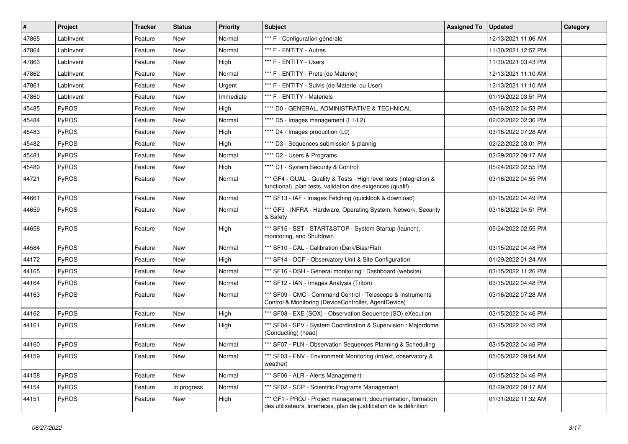| $\vert$ # | Project      | Tracker | <b>Status</b> | <b>Priority</b> | <b>Subject</b>                                                                                                                        | <b>Assigned To</b> | <b>Updated</b>      | Category |
|-----------|--------------|---------|---------------|-----------------|---------------------------------------------------------------------------------------------------------------------------------------|--------------------|---------------------|----------|
| 47865     | LabInvent    | Feature | New           | Normal          | *** F - Configuration générale                                                                                                        |                    | 12/13/2021 11:06 AM |          |
| 47864     | LabInvent    | Feature | New           | Normal          | *** F - ENTITY - Autres                                                                                                               |                    | 11/30/2021 12:57 PM |          |
| 47863     | LabInvent    | Feature | New           | High            | *** F - ENTITY - Users                                                                                                                |                    | 11/30/2021 03:43 PM |          |
| 47862     | LabInvent    | Feature | New           | Normal          | *** F - ENTITY - Prets (de Materiel)                                                                                                  |                    | 12/13/2021 11:10 AM |          |
| 47861     | LabInvent    | Feature | New           | Urgent          | *** F - ENTITY - Suivis (de Materiel ou User)                                                                                         |                    | 12/13/2021 11:10 AM |          |
| 47860     | LabInvent    | Feature | New           | Immediate       | *** F - ENTITY - Materiels                                                                                                            |                    | 01/19/2022 03:51 PM |          |
| 45485     | PyROS        | Feature | New           | High            | **** D0 - GENERAL, ADMINISTRATIVE & TECHNICAL                                                                                         |                    | 03/16/2022 04:53 PM |          |
| 45484     | <b>PyROS</b> | Feature | New           | Normal          | **** D5 - Images management (L1-L2)                                                                                                   |                    | 02/02/2022 02:36 PM |          |
| 45483     | PyROS        | Feature | New           | High            | **** D4 - Images production (L0)                                                                                                      |                    | 03/16/2022 07:28 AM |          |
| 45482     | PyROS        | Feature | New           | High            | **** D3 - Sequences submission & plannig                                                                                              |                    | 02/22/2022 03:01 PM |          |
| 45481     | <b>PyROS</b> | Feature | New           | Normal          | **** D2 - Users & Programs                                                                                                            |                    | 03/29/2022 09:17 AM |          |
| 45480     | PyROS        | Feature | New           | High            | **** D1 - System Security & Control                                                                                                   |                    | 05/24/2022 02:55 PM |          |
| 44721     | PyROS        | Feature | New           | Normal          | *** GF4 - QUAL - Quality & Tests - High level tests (integration &<br>functional), plan tests, validation des exigences (qualif)      |                    | 03/16/2022 04:55 PM |          |
| 44661     | PyROS        | Feature | New           | Normal          | *** SF13 - IAF - Images Fetching (quicklook & download)                                                                               |                    | 03/15/2022 04:49 PM |          |
| 44659     | <b>PyROS</b> | Feature | New           | Normal          | *** GF3 - INFRA - Hardware, Operating System, Network, Security<br>& Safety                                                           |                    | 03/16/2022 04:51 PM |          |
| 44658     | PyROS        | Feature | New           | High            | *** SF15 - SST - START&STOP - System Startup (launch),<br>monitoring, and Shutdown                                                    |                    | 05/24/2022 02:55 PM |          |
| 44584     | PyROS        | Feature | New           | Normal          | *** SF10 - CAL - Calibration (Dark/Bias/Flat)                                                                                         |                    | 03/15/2022 04:48 PM |          |
| 44172     | <b>PyROS</b> | Feature | New           | High            | *** SF14 - OCF - Observatory Unit & Site Configuration                                                                                |                    | 01/29/2022 01:24 AM |          |
| 44165     | PyROS        | Feature | New           | Normal          | *** SF16 - DSH - General monitoring : Dashboard (website)                                                                             |                    | 03/15/2022 11:26 PM |          |
| 44164     | PyROS        | Feature | New           | Normal          | *** SF12 - IAN - Images Analysis (Triton)                                                                                             |                    | 03/15/2022 04:48 PM |          |
| 44163     | <b>PyROS</b> | Feature | New           | Normal          | *** SF09 - CMC - Command Control - Telescope & Instruments<br>Control & Monitoring (DeviceController, AgentDevice)                    |                    | 03/16/2022 07:28 AM |          |
| 44162     | PyROS        | Feature | New           | High            | *** SF08 - EXE (SOX) - Observation Sequence (SO) eXecution                                                                            |                    | 03/15/2022 04:46 PM |          |
| 44161     | PyROS        | Feature | New           | High            | *** SF04 - SPV - System Coordination & Supervision : Majordome<br>(Conducting) (head)                                                 |                    | 03/15/2022 04:45 PM |          |
| 44160     | PyROS        | Feature | New           | Normal          | *** SF07 - PLN - Observation Sequences Planning & Scheduling                                                                          |                    | 03/15/2022 04:46 PM |          |
| 44159     | PyROS        | Feature | New           | Normal          | *** SF03 - ENV - Environment Monitoring (int/ext, observatory &<br>weather)                                                           |                    | 05/05/2022 09:54 AM |          |
| 44158     | PyROS        | Feature | New           | Normal          | *** SF06 - ALR - Alerts Management                                                                                                    |                    | 03/15/2022 04:46 PM |          |
| 44154     | PyROS        | Feature | In progress   | Normal          | *** SF02 - SCP - Scientific Programs Management                                                                                       |                    | 03/29/2022 09:17 AM |          |
| 44151     | PyROS        | Feature | New           | High            | *** GF1 - PROJ - Project management, documentation, formation<br>des utilisateurs, interfaces, plan de justification de la définition |                    | 01/31/2022 11:32 AM |          |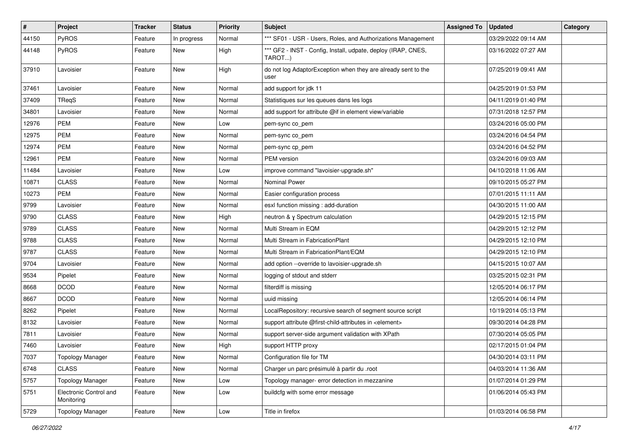| $\vert$ # | Project                              | <b>Tracker</b> | <b>Status</b> | <b>Priority</b> | <b>Subject</b>                                                          | <b>Assigned To</b> | <b>Updated</b>      | Category |
|-----------|--------------------------------------|----------------|---------------|-----------------|-------------------------------------------------------------------------|--------------------|---------------------|----------|
| 44150     | PyROS                                | Feature        | In progress   | Normal          | *** SF01 - USR - Users, Roles, and Authorizations Management            |                    | 03/29/2022 09:14 AM |          |
| 44148     | PyROS                                | Feature        | New           | High            | *** GF2 - INST - Config, Install, udpate, deploy (IRAP, CNES,<br>TAROT) |                    | 03/16/2022 07:27 AM |          |
| 37910     | Lavoisier                            | Feature        | New           | High            | do not log AdaptorException when they are already sent to the<br>user   |                    | 07/25/2019 09:41 AM |          |
| 37461     | Lavoisier                            | Feature        | New           | Normal          | add support for jdk 11                                                  |                    | 04/25/2019 01:53 PM |          |
| 37409     | TReqS                                | Feature        | New           | Normal          | Statistiques sur les queues dans les logs                               |                    | 04/11/2019 01:40 PM |          |
| 34801     | Lavoisier                            | Feature        | New           | Normal          | add support for attribute @if in element view/variable                  |                    | 07/31/2018 12:57 PM |          |
| 12976     | <b>PEM</b>                           | Feature        | New           | Low             | pem-sync co_pem                                                         |                    | 03/24/2016 05:00 PM |          |
| 12975     | PEM                                  | Feature        | New           | Normal          | pem-sync co_pem                                                         |                    | 03/24/2016 04:54 PM |          |
| 12974     | <b>PEM</b>                           | Feature        | New           | Normal          | pem-sync cp_pem                                                         |                    | 03/24/2016 04:52 PM |          |
| 12961     | <b>PEM</b>                           | Feature        | New           | Normal          | PEM version                                                             |                    | 03/24/2016 09:03 AM |          |
| 11484     | Lavoisier                            | Feature        | New           | Low             | improve command "lavoisier-upgrade.sh"                                  |                    | 04/10/2018 11:06 AM |          |
| 10871     | <b>CLASS</b>                         | Feature        | New           | Normal          | <b>Nominal Power</b>                                                    |                    | 09/10/2015 05:27 PM |          |
| 10273     | <b>PEM</b>                           | Feature        | New           | Normal          | Easier configuration process                                            |                    | 07/01/2015 11:11 AM |          |
| 9799      | Lavoisier                            | Feature        | New           | Normal          | esxl function missing : add-duration                                    |                    | 04/30/2015 11:00 AM |          |
| 9790      | <b>CLASS</b>                         | Feature        | New           | High            | neutron & y Spectrum calculation                                        |                    | 04/29/2015 12:15 PM |          |
| 9789      | <b>CLASS</b>                         | Feature        | New           | Normal          | Multi Stream in EQM                                                     |                    | 04/29/2015 12:12 PM |          |
| 9788      | <b>CLASS</b>                         | Feature        | New           | Normal          | Multi Stream in FabricationPlant                                        |                    | 04/29/2015 12:10 PM |          |
| 9787      | <b>CLASS</b>                         | Feature        | New           | Normal          | Multi Stream in FabricationPlant/EQM                                    |                    | 04/29/2015 12:10 PM |          |
| 9704      | Lavoisier                            | Feature        | New           | Normal          | add option --override to lavoisier-upgrade.sh                           |                    | 04/15/2015 10:07 AM |          |
| 9534      | Pipelet                              | Feature        | New           | Normal          | logging of stdout and stderr                                            |                    | 03/25/2015 02:31 PM |          |
| 8668      | <b>DCOD</b>                          | Feature        | New           | Normal          | filterdiff is missing                                                   |                    | 12/05/2014 06:17 PM |          |
| 8667      | <b>DCOD</b>                          | Feature        | New           | Normal          | uuid missing                                                            |                    | 12/05/2014 06:14 PM |          |
| 8262      | Pipelet                              | Feature        | New           | Normal          | LocalRepository: recursive search of segment source script              |                    | 10/19/2014 05:13 PM |          |
| 8132      | Lavoisier                            | Feature        | New           | Normal          | support attribute @first-child-attributes in <element></element>        |                    | 09/30/2014 04:28 PM |          |
| 7811      | Lavoisier                            | Feature        | New           | Normal          | support server-side argument validation with XPath                      |                    | 07/30/2014 05:05 PM |          |
| 7460      | Lavoisier                            | Feature        | New           | High            | support HTTP proxy                                                      |                    | 02/17/2015 01:04 PM |          |
| 7037      | <b>Topology Manager</b>              | Feature        | New           | Normal          | Configuration file for TM                                               |                    | 04/30/2014 03:11 PM |          |
| 6748      | <b>CLASS</b>                         | Feature        | New           | Normal          | Charger un parc présimulé à partir du .root                             |                    | 04/03/2014 11:36 AM |          |
| 5757      | <b>Topology Manager</b>              | Feature        | New           | Low             | Topology manager- error detection in mezzanine                          |                    | 01/07/2014 01:29 PM |          |
| 5751      | Electronic Control and<br>Monitoring | Feature        | New           | Low             | buildcfg with some error message                                        |                    | 01/06/2014 05:43 PM |          |
| 5729      | <b>Topology Manager</b>              | Feature        | New           | Low             | Title in firefox                                                        |                    | 01/03/2014 06:58 PM |          |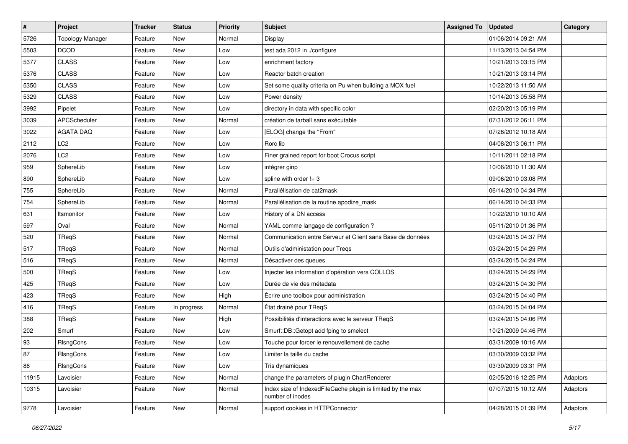| $\vert$ # | Project                 | Tracker | <b>Status</b> | <b>Priority</b> | Subject                                                                         | <b>Assigned To</b> | <b>Updated</b>      | Category |
|-----------|-------------------------|---------|---------------|-----------------|---------------------------------------------------------------------------------|--------------------|---------------------|----------|
| 5726      | <b>Topology Manager</b> | Feature | New           | Normal          | Display                                                                         |                    | 01/06/2014 09:21 AM |          |
| 5503      | <b>DCOD</b>             | Feature | New           | Low             | test ada 2012 in ./configure                                                    |                    | 11/13/2013 04:54 PM |          |
| 5377      | <b>CLASS</b>            | Feature | New           | Low             | enrichment factory                                                              |                    | 10/21/2013 03:15 PM |          |
| 5376      | <b>CLASS</b>            | Feature | New           | Low             | Reactor batch creation                                                          |                    | 10/21/2013 03:14 PM |          |
| 5350      | <b>CLASS</b>            | Feature | New           | Low             | Set some quality criteria on Pu when building a MOX fuel                        |                    | 10/22/2013 11:50 AM |          |
| 5329      | <b>CLASS</b>            | Feature | New           | Low             | Power density                                                                   |                    | 10/14/2013 05:58 PM |          |
| 3992      | Pipelet                 | Feature | New           | Low             | directory in data with specific color                                           |                    | 02/20/2013 05:19 PM |          |
| 3039      | APCScheduler            | Feature | New           | Normal          | création de tarball sans exécutable                                             |                    | 07/31/2012 06:11 PM |          |
| 3022      | <b>AGATA DAQ</b>        | Feature | New           | Low             | [ELOG] change the "From"                                                        |                    | 07/26/2012 10:18 AM |          |
| 2112      | LC <sub>2</sub>         | Feature | New           | Low             | Rorc lib                                                                        |                    | 04/08/2013 06:11 PM |          |
| 2076      | LC <sub>2</sub>         | Feature | New           | Low             | Finer grained report for boot Crocus script                                     |                    | 10/11/2011 02:18 PM |          |
| 959       | SphereLib               | Feature | New           | Low             | intégrer ginp                                                                   |                    | 10/06/2010 11:30 AM |          |
| 890       | SphereLib               | Feature | New           | Low             | spline with order $!= 3$                                                        |                    | 09/06/2010 03:08 PM |          |
| 755       | SphereLib               | Feature | New           | Normal          | Parallélisation de cat2mask                                                     |                    | 06/14/2010 04:34 PM |          |
| 754       | SphereLib               | Feature | New           | Normal          | Parallélisation de la routine apodize_mask                                      |                    | 06/14/2010 04:33 PM |          |
| 631       | ftsmonitor              | Feature | New           | Low             | History of a DN access                                                          |                    | 10/22/2010 10:10 AM |          |
| 597       | Oval                    | Feature | New           | Normal          | YAML comme langage de configuration ?                                           |                    | 05/11/2010 01:36 PM |          |
| 520       | <b>TReqS</b>            | Feature | New           | Normal          | Communication entre Serveur et Client sans Base de données                      |                    | 03/24/2015 04:37 PM |          |
| 517       | TReqS                   | Feature | New           | Normal          | Outils d'administation pour Treqs                                               |                    | 03/24/2015 04:29 PM |          |
| 516       | TReqS                   | Feature | New           | Normal          | Désactiver des queues                                                           |                    | 03/24/2015 04:24 PM |          |
| 500       | TReqS                   | Feature | New           | Low             | Injecter les information d'opération vers COLLOS                                |                    | 03/24/2015 04:29 PM |          |
| 425       | TReqS                   | Feature | New           | Low             | Durée de vie des métadata                                                       |                    | 03/24/2015 04:30 PM |          |
| 423       | TReqS                   | Feature | <b>New</b>    | High            | Écrire une toolbox pour administration                                          |                    | 03/24/2015 04:40 PM |          |
| 416       | TReqS                   | Feature | In progress   | Normal          | État drainé pour TReqS                                                          |                    | 03/24/2015 04:04 PM |          |
| 388       | TReqS                   | Feature | New           | High            | Possibilités d'interactions avec le serveur TReqS                               |                    | 03/24/2015 04:06 PM |          |
| 202       | Smurf                   | Feature | New           | Low             | Smurf::DB::Getopt add fping to smelect                                          |                    | 10/21/2009 04:46 PM |          |
| 93        | RIsngCons               | Feature | New           | Low             | Touche pour forcer le renouvellement de cache                                   |                    | 03/31/2009 10:16 AM |          |
| 87        | RIsngCons               | Feature | New           | Low             | Limiter la taille du cache                                                      |                    | 03/30/2009 03:32 PM |          |
| 86        | RIsngCons               | Feature | New           | Low             | Tris dynamiques                                                                 |                    | 03/30/2009 03:31 PM |          |
| 11915     | Lavoisier               | Feature | New           | Normal          | change the parameters of plugin ChartRenderer                                   |                    | 02/05/2016 12:25 PM | Adaptors |
| 10315     | Lavoisier               | Feature | New           | Normal          | Index size of IndexedFileCache plugin is limited by the max<br>number of inodes |                    | 07/07/2015 10:12 AM | Adaptors |
| 9778      | Lavoisier               | Feature | New           | Normal          | support cookies in HTTPConnector                                                |                    | 04/28/2015 01:39 PM | Adaptors |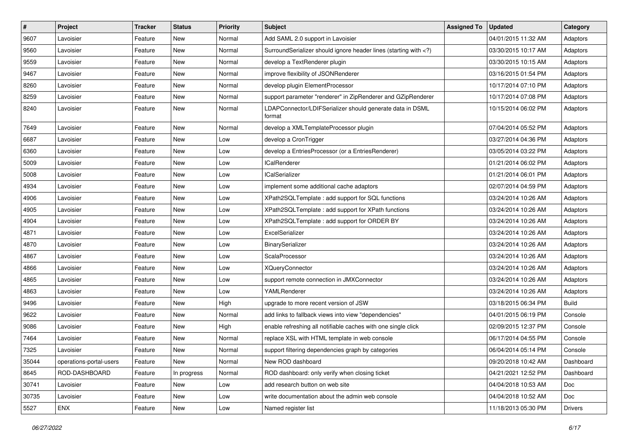| $\sharp$ | Project                 | <b>Tracker</b> | <b>Status</b> | <b>Priority</b> | <b>Subject</b>                                                                                                              | <b>Assigned To</b> | Updated             | Category       |
|----------|-------------------------|----------------|---------------|-----------------|-----------------------------------------------------------------------------------------------------------------------------|--------------------|---------------------|----------------|
| 9607     | Lavoisier               | Feature        | New           | Normal          | Add SAML 2.0 support in Lavoisier                                                                                           |                    | 04/01/2015 11:32 AM | Adaptors       |
| 9560     | Lavoisier               | Feature        | <b>New</b>    | Normal          | SurroundSerializer should ignore header lines (starting with )</td <td></td> <td>03/30/2015 10:17 AM</td> <td>Adaptors</td> |                    | 03/30/2015 10:17 AM | Adaptors       |
| 9559     | Lavoisier               | Feature        | New           | Normal          | develop a TextRenderer plugin                                                                                               |                    | 03/30/2015 10:15 AM | Adaptors       |
| 9467     | Lavoisier               | Feature        | New           | Normal          | improve flexibility of JSONRenderer                                                                                         |                    | 03/16/2015 01:54 PM | Adaptors       |
| 8260     | Lavoisier               | Feature        | <b>New</b>    | Normal          | develop plugin ElementProcessor                                                                                             |                    | 10/17/2014 07:10 PM | Adaptors       |
| 8259     | Lavoisier               | Feature        | New           | Normal          | support parameter "renderer" in ZipRenderer and GZipRenderer                                                                |                    | 10/17/2014 07:08 PM | Adaptors       |
| 8240     | Lavoisier               | Feature        | New           | Normal          | LDAPConnector/LDIFSerializer should generate data in DSML<br>format                                                         |                    | 10/15/2014 06:02 PM | Adaptors       |
| 7649     | Lavoisier               | Feature        | New           | Normal          | develop a XMLTemplateProcessor plugin                                                                                       |                    | 07/04/2014 05:52 PM | Adaptors       |
| 6687     | Lavoisier               | Feature        | <b>New</b>    | Low             | develop a CronTrigger                                                                                                       |                    | 03/27/2014 04:36 PM | Adaptors       |
| 6360     | Lavoisier               | Feature        | New           | Low             | develop a EntriesProcessor (or a EntriesRenderer)                                                                           |                    | 03/05/2014 03:22 PM | Adaptors       |
| 5009     | Lavoisier               | Feature        | New           | Low             | lCalRenderer                                                                                                                |                    | 01/21/2014 06:02 PM | Adaptors       |
| 5008     | Lavoisier               | Feature        | New           | Low             | <b>ICalSerializer</b>                                                                                                       |                    | 01/21/2014 06:01 PM | Adaptors       |
| 4934     | Lavoisier               | Feature        | New           | Low             | implement some additional cache adaptors                                                                                    |                    | 02/07/2014 04:59 PM | Adaptors       |
| 4906     | Lavoisier               | Feature        | New           | Low             | XPath2SQLTemplate : add support for SQL functions                                                                           |                    | 03/24/2014 10:26 AM | Adaptors       |
| 4905     | Lavoisier               | Feature        | New           | Low             | XPath2SQLTemplate: add support for XPath functions                                                                          |                    | 03/24/2014 10:26 AM | Adaptors       |
| 4904     | Lavoisier               | Feature        | New           | Low             | XPath2SQLTemplate: add support for ORDER BY                                                                                 |                    | 03/24/2014 10:26 AM | Adaptors       |
| 4871     | Lavoisier               | Feature        | New           | Low             | ExcelSerializer                                                                                                             |                    | 03/24/2014 10:26 AM | Adaptors       |
| 4870     | Lavoisier               | Feature        | New           | Low             | BinarySerializer                                                                                                            |                    | 03/24/2014 10:26 AM | Adaptors       |
| 4867     | Lavoisier               | Feature        | <b>New</b>    | Low             | ScalaProcessor                                                                                                              |                    | 03/24/2014 10:26 AM | Adaptors       |
| 4866     | Lavoisier               | Feature        | New           | Low             | <b>XQueryConnector</b>                                                                                                      |                    | 03/24/2014 10:26 AM | Adaptors       |
| 4865     | Lavoisier               | Feature        | New           | Low             | support remote connection in JMXConnector                                                                                   |                    | 03/24/2014 10:26 AM | Adaptors       |
| 4863     | Lavoisier               | Feature        | <b>New</b>    | Low             | YAMLRenderer                                                                                                                |                    | 03/24/2014 10:26 AM | Adaptors       |
| 9496     | Lavoisier               | Feature        | New           | High            | upgrade to more recent version of JSW                                                                                       |                    | 03/18/2015 06:34 PM | <b>Build</b>   |
| 9622     | Lavoisier               | Feature        | New           | Normal          | add links to fallback views into view "dependencies"                                                                        |                    | 04/01/2015 06:19 PM | Console        |
| 9086     | Lavoisier               | Feature        | New           | High            | enable refreshing all notifiable caches with one single click                                                               |                    | 02/09/2015 12:37 PM | Console        |
| 7464     | Lavoisier               | Feature        | New           | Normal          | replace XSL with HTML template in web console                                                                               |                    | 06/17/2014 04:55 PM | Console        |
| 7325     | Lavoisier               | Feature        | New           | Normal          | support filtering dependencies graph by categories                                                                          |                    | 06/04/2014 05:14 PM | Console        |
| 35044    | operations-portal-users | Feature        | New           | Normal          | New ROD dashboard                                                                                                           |                    | 09/20/2018 10:42 AM | Dashboard      |
| 8645     | ROD-DASHBOARD           | Feature        | In progress   | Normal          | ROD dashboard: only verify when closing ticket                                                                              |                    | 04/21/2021 12:52 PM | Dashboard      |
| 30741    | Lavoisier               | Feature        | New           | Low             | add research button on web site                                                                                             |                    | 04/04/2018 10:53 AM | Doc            |
| 30735    | Lavoisier               | Feature        | New           | Low             | write documentation about the admin web console                                                                             |                    | 04/04/2018 10:52 AM | Doc            |
| 5527     | <b>ENX</b>              | Feature        | New           | Low             | Named register list                                                                                                         |                    | 11/18/2013 05:30 PM | <b>Drivers</b> |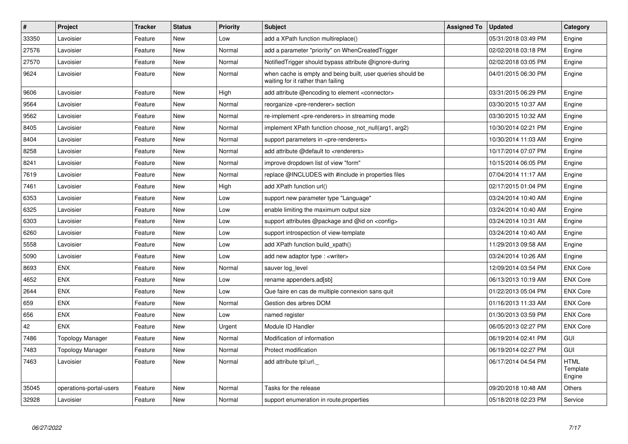| $\vert$ # | Project                 | Tracker | <b>Status</b> | <b>Priority</b> | <b>Subject</b>                                                                                    | <b>Assigned To</b> | <b>Updated</b>      | Category                          |
|-----------|-------------------------|---------|---------------|-----------------|---------------------------------------------------------------------------------------------------|--------------------|---------------------|-----------------------------------|
| 33350     | Lavoisier               | Feature | <b>New</b>    | Low             | add a XPath function multireplace()                                                               |                    | 05/31/2018 03:49 PM | Engine                            |
| 27576     | Lavoisier               | Feature | New           | Normal          | add a parameter "priority" on WhenCreatedTrigger                                                  |                    | 02/02/2018 03:18 PM | Engine                            |
| 27570     | Lavoisier               | Feature | <b>New</b>    | Normal          | Notified Trigger should bypass attribute @ignore-during                                           |                    | 02/02/2018 03:05 PM | Engine                            |
| 9624      | Lavoisier               | Feature | <b>New</b>    | Normal          | when cache is empty and being built, user queries should be<br>waiting for it rather than failing |                    | 04/01/2015 06:30 PM | Engine                            |
| 9606      | Lavoisier               | Feature | <b>New</b>    | High            | add attribute @encoding to element <connector></connector>                                        |                    | 03/31/2015 06:29 PM | Engine                            |
| 9564      | Lavoisier               | Feature | <b>New</b>    | Normal          | reorganize <pre-renderer> section</pre-renderer>                                                  |                    | 03/30/2015 10:37 AM | Engine                            |
| 9562      | Lavoisier               | Feature | <b>New</b>    | Normal          | re-implement <pre-renderers> in streaming mode</pre-renderers>                                    |                    | 03/30/2015 10:32 AM | Engine                            |
| 8405      | Lavoisier               | Feature | <b>New</b>    | Normal          | implement XPath function choose not null(arg1, arg2)                                              |                    | 10/30/2014 02:21 PM | Engine                            |
| 8404      | Lavoisier               | Feature | <b>New</b>    | Normal          | support parameters in <pre-renderers></pre-renderers>                                             |                    | 10/30/2014 11:03 AM | Engine                            |
| 8258      | Lavoisier               | Feature | <b>New</b>    | Normal          | add attribute @default to <renderers></renderers>                                                 |                    | 10/17/2014 07:07 PM | Engine                            |
| 8241      | Lavoisier               | Feature | <b>New</b>    | Normal          | improve dropdown list of view "form"                                                              |                    | 10/15/2014 06:05 PM | Engine                            |
| 7619      | Lavoisier               | Feature | <b>New</b>    | Normal          | replace @INCLUDES with #include in properties files                                               |                    | 07/04/2014 11:17 AM | Engine                            |
| 7461      | Lavoisier               | Feature | <b>New</b>    | High            | add XPath function url()                                                                          |                    | 02/17/2015 01:04 PM | Engine                            |
| 6353      | Lavoisier               | Feature | <b>New</b>    | Low             | support new parameter type "Language"                                                             |                    | 03/24/2014 10:40 AM | Engine                            |
| 6325      | Lavoisier               | Feature | New           | Low             | enable limiting the maximum output size                                                           |                    | 03/24/2014 10:40 AM | Engine                            |
| 6303      | Lavoisier               | Feature | New           | Low             | support attributes @package and @id on <config></config>                                          |                    | 03/24/2014 10:31 AM | Engine                            |
| 6260      | Lavoisier               | Feature | New           | Low             | support introspection of view-template                                                            |                    | 03/24/2014 10:40 AM | Engine                            |
| 5558      | Lavoisier               | Feature | <b>New</b>    | Low             | add XPath function build xpath()                                                                  |                    | 11/29/2013 09:58 AM | Engine                            |
| 5090      | Lavoisier               | Feature | <b>New</b>    | Low             | add new adaptor type : <writer></writer>                                                          |                    | 03/24/2014 10:26 AM | Engine                            |
| 8693      | <b>ENX</b>              | Feature | New           | Normal          | sauver log_level                                                                                  |                    | 12/09/2014 03:54 PM | <b>ENX Core</b>                   |
| 4652      | <b>ENX</b>              | Feature | <b>New</b>    | Low             | rename appenders.ad[sb]                                                                           |                    | 06/13/2013 10:19 AM | <b>ENX Core</b>                   |
| 2644      | <b>ENX</b>              | Feature | <b>New</b>    | Low             | Que faire en cas de multiple connexion sans quit                                                  |                    | 01/22/2013 05:04 PM | <b>ENX Core</b>                   |
| 659       | <b>ENX</b>              | Feature | <b>New</b>    | Normal          | Gestion des arbres DOM                                                                            |                    | 01/16/2013 11:33 AM | <b>ENX Core</b>                   |
| 656       | <b>ENX</b>              | Feature | New           | Low             | named register                                                                                    |                    | 01/30/2013 03:59 PM | <b>ENX Core</b>                   |
| 42        | <b>ENX</b>              | Feature | <b>New</b>    | Urgent          | Module ID Handler                                                                                 |                    | 06/05/2013 02:27 PM | <b>ENX Core</b>                   |
| 7486      | <b>Topology Manager</b> | Feature | New           | Normal          | Modification of information                                                                       |                    | 06/19/2014 02:41 PM | <b>GUI</b>                        |
| 7483      | <b>Topology Manager</b> | Feature | <b>New</b>    | Normal          | Protect modification                                                                              |                    | 06/19/2014 02:27 PM | GUI                               |
| 7463      | Lavoisier               | Feature | New           | Normal          | add attribute tpl:url.                                                                            |                    | 06/17/2014 04:54 PM | <b>HTML</b><br>Template<br>Engine |
| 35045     | operations-portal-users | Feature | <b>New</b>    | Normal          | Tasks for the release                                                                             |                    | 09/20/2018 10:48 AM | Others                            |
| 32928     | Lavoisier               | Feature | <b>New</b>    | Normal          | support enumeration in route properties                                                           |                    | 05/18/2018 02:23 PM | Service                           |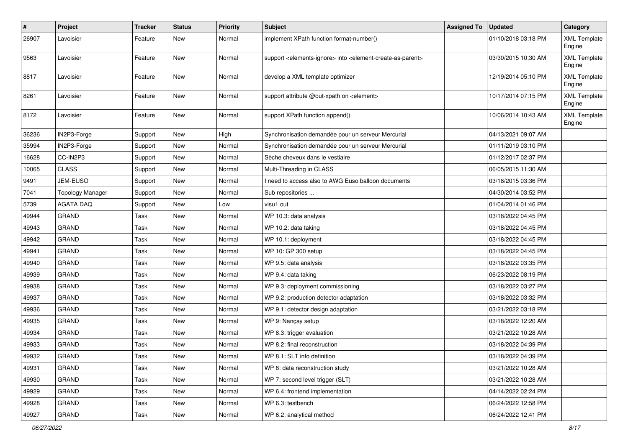| $\pmb{\#}$ | Project                 | <b>Tracker</b> | <b>Status</b> | Priority | <b>Subject</b>                                                                                         | <b>Assigned To</b> | <b>Updated</b>      | Category                      |
|------------|-------------------------|----------------|---------------|----------|--------------------------------------------------------------------------------------------------------|--------------------|---------------------|-------------------------------|
| 26907      | Lavoisier               | Feature        | New           | Normal   | implement XPath function format-number()                                                               |                    | 01/10/2018 03:18 PM | <b>XML Template</b><br>Engine |
| 9563       | Lavoisier               | Feature        | New           | Normal   | support <elements-ignore> into <element-create-as-parent></element-create-as-parent></elements-ignore> |                    | 03/30/2015 10:30 AM | <b>XML Template</b><br>Engine |
| 8817       | Lavoisier               | Feature        | New           | Normal   | develop a XML template optimizer                                                                       |                    | 12/19/2014 05:10 PM | <b>XML Template</b><br>Engine |
| 8261       | Lavoisier               | Feature        | New           | Normal   | support attribute @out-xpath on <element></element>                                                    |                    | 10/17/2014 07:15 PM | <b>XML Template</b><br>Engine |
| 8172       | Lavoisier               | Feature        | <b>New</b>    | Normal   | support XPath function append()                                                                        |                    | 10/06/2014 10:43 AM | <b>XML Template</b><br>Engine |
| 36236      | IN2P3-Forge             | Support        | <b>New</b>    | High     | Synchronisation demandée pour un serveur Mercurial                                                     |                    | 04/13/2021 09:07 AM |                               |
| 35994      | IN2P3-Forge             | Support        | <b>New</b>    | Normal   | Synchronisation demandée pour un serveur Mercurial                                                     |                    | 01/11/2019 03:10 PM |                               |
| 16628      | CC-IN2P3                | Support        | New           | Normal   | Sèche cheveux dans le vestiaire                                                                        |                    | 01/12/2017 02:37 PM |                               |
| 10065      | <b>CLASS</b>            | Support        | New           | Normal   | Multi-Threading in CLASS                                                                               |                    | 06/05/2015 11:30 AM |                               |
| 9491       | JEM-EUSO                | Support        | New           | Normal   | I need to access also to AWG Euso balloon documents                                                    |                    | 03/18/2015 03:36 PM |                               |
| 7041       | <b>Topology Manager</b> | Support        | New           | Normal   | Sub repositories                                                                                       |                    | 04/30/2014 03:52 PM |                               |
| 5739       | <b>AGATA DAQ</b>        | Support        | New           | Low      | visu1 out                                                                                              |                    | 01/04/2014 01:46 PM |                               |
| 49944      | <b>GRAND</b>            | Task           | <b>New</b>    | Normal   | WP 10.3: data analysis                                                                                 |                    | 03/18/2022 04:45 PM |                               |
| 49943      | <b>GRAND</b>            | Task           | <b>New</b>    | Normal   | WP 10.2: data taking                                                                                   |                    | 03/18/2022 04:45 PM |                               |
| 49942      | <b>GRAND</b>            | Task           | New           | Normal   | WP 10.1: deployment                                                                                    |                    | 03/18/2022 04:45 PM |                               |
| 49941      | <b>GRAND</b>            | Task           | New           | Normal   | WP 10: GP 300 setup                                                                                    |                    | 03/18/2022 04:45 PM |                               |
| 49940      | <b>GRAND</b>            | Task           | <b>New</b>    | Normal   | WP 9.5: data analysis                                                                                  |                    | 03/18/2022 03:35 PM |                               |
| 49939      | <b>GRAND</b>            | Task           | <b>New</b>    | Normal   | WP 9.4: data taking                                                                                    |                    | 06/23/2022 08:19 PM |                               |
| 49938      | <b>GRAND</b>            | Task           | New           | Normal   | WP 9.3: deployment commissioning                                                                       |                    | 03/18/2022 03:27 PM |                               |
| 49937      | <b>GRAND</b>            | Task           | <b>New</b>    | Normal   | WP 9.2: production detector adaptation                                                                 |                    | 03/18/2022 03:32 PM |                               |
| 49936      | <b>GRAND</b>            | Task           | New           | Normal   | WP 9.1: detector design adaptation                                                                     |                    | 03/21/2022 03:18 PM |                               |
| 49935      | <b>GRAND</b>            | Task           | <b>New</b>    | Normal   | WP 9: Nançay setup                                                                                     |                    | 03/18/2022 12:20 AM |                               |
| 49934      | <b>GRAND</b>            | Task           | New           | Normal   | WP 8.3: trigger evaluation                                                                             |                    | 03/21/2022 10:28 AM |                               |
| 49933      | <b>GRAND</b>            | Task           | New           | Normal   | WP 8.2: final reconstruction                                                                           |                    | 03/18/2022 04:39 PM |                               |
| 49932      | <b>GRAND</b>            | Task           | New           | Normal   | WP 8.1: SLT info definition                                                                            |                    | 03/18/2022 04:39 PM |                               |
| 49931      | <b>GRAND</b>            | Task           | New           | Normal   | WP 8: data reconstruction study                                                                        |                    | 03/21/2022 10:28 AM |                               |
| 49930      | <b>GRAND</b>            | Task           | New           | Normal   | WP 7: second level trigger (SLT)                                                                       |                    | 03/21/2022 10:28 AM |                               |
| 49929      | <b>GRAND</b>            | Task           | New           | Normal   | WP 6.4: frontend implementation                                                                        |                    | 04/14/2022 02:24 PM |                               |
| 49928      | <b>GRAND</b>            | Task           | New           | Normal   | WP 6.3: testbench                                                                                      |                    | 06/24/2022 12:58 PM |                               |
| 49927      | <b>GRAND</b>            | Task           | New           | Normal   | WP 6.2: analytical method                                                                              |                    | 06/24/2022 12:41 PM |                               |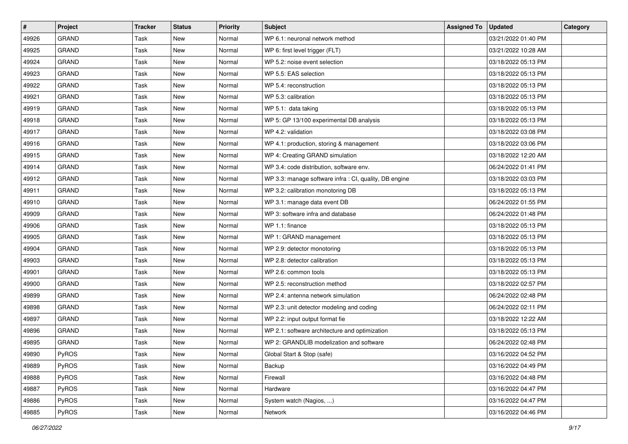| $\sharp$ | Project      | Tracker | <b>Status</b> | <b>Priority</b> | <b>Subject</b>                                         | <b>Assigned To</b> | <b>Updated</b>      | Category |
|----------|--------------|---------|---------------|-----------------|--------------------------------------------------------|--------------------|---------------------|----------|
| 49926    | <b>GRAND</b> | Task    | New           | Normal          | WP 6.1: neuronal network method                        |                    | 03/21/2022 01:40 PM |          |
| 49925    | <b>GRAND</b> | Task    | New           | Normal          | WP 6: first level trigger (FLT)                        |                    | 03/21/2022 10:28 AM |          |
| 49924    | GRAND        | Task    | New           | Normal          | WP 5.2: noise event selection                          |                    | 03/18/2022 05:13 PM |          |
| 49923    | <b>GRAND</b> | Task    | New           | Normal          | WP 5.5: EAS selection                                  |                    | 03/18/2022 05:13 PM |          |
| 49922    | <b>GRAND</b> | Task    | New           | Normal          | WP 5.4: reconstruction                                 |                    | 03/18/2022 05:13 PM |          |
| 49921    | <b>GRAND</b> | Task    | New           | Normal          | WP 5.3: calibration                                    |                    | 03/18/2022 05:13 PM |          |
| 49919    | <b>GRAND</b> | Task    | New           | Normal          | WP 5.1: data taking                                    |                    | 03/18/2022 05:13 PM |          |
| 49918    | <b>GRAND</b> | Task    | New           | Normal          | WP 5: GP 13/100 experimental DB analysis               |                    | 03/18/2022 05:13 PM |          |
| 49917    | <b>GRAND</b> | Task    | New           | Normal          | WP 4.2: validation                                     |                    | 03/18/2022 03:08 PM |          |
| 49916    | <b>GRAND</b> | Task    | New           | Normal          | WP 4.1: production, storing & management               |                    | 03/18/2022 03:06 PM |          |
| 49915    | <b>GRAND</b> | Task    | New           | Normal          | WP 4: Creating GRAND simulation                        |                    | 03/18/2022 12:20 AM |          |
| 49914    | <b>GRAND</b> | Task    | New           | Normal          | WP 3.4: code distribution, software env.               |                    | 06/24/2022 01:41 PM |          |
| 49912    | <b>GRAND</b> | Task    | New           | Normal          | WP 3.3: manage software infra : CI, quality, DB engine |                    | 03/18/2022 03:03 PM |          |
| 49911    | <b>GRAND</b> | Task    | New           | Normal          | WP 3.2: calibration monotoring DB                      |                    | 03/18/2022 05:13 PM |          |
| 49910    | GRAND        | Task    | New           | Normal          | WP 3.1: manage data event DB                           |                    | 06/24/2022 01:55 PM |          |
| 49909    | GRAND        | Task    | New           | Normal          | WP 3: software infra and database                      |                    | 06/24/2022 01:48 PM |          |
| 49906    | <b>GRAND</b> | Task    | New           | Normal          | WP 1.1: finance                                        |                    | 03/18/2022 05:13 PM |          |
| 49905    | <b>GRAND</b> | Task    | New           | Normal          | WP 1: GRAND management                                 |                    | 03/18/2022 05:13 PM |          |
| 49904    | <b>GRAND</b> | Task    | New           | Normal          | WP 2.9: detector monotoring                            |                    | 03/18/2022 05:13 PM |          |
| 49903    | <b>GRAND</b> | Task    | New           | Normal          | WP 2.8: detector calibration                           |                    | 03/18/2022 05:13 PM |          |
| 49901    | <b>GRAND</b> | Task    | New           | Normal          | WP 2.6: common tools                                   |                    | 03/18/2022 05:13 PM |          |
| 49900    | <b>GRAND</b> | Task    | New           | Normal          | WP 2.5: reconstruction method                          |                    | 03/18/2022 02:57 PM |          |
| 49899    | <b>GRAND</b> | Task    | New           | Normal          | WP 2.4: antenna network simulation                     |                    | 06/24/2022 02:48 PM |          |
| 49898    | <b>GRAND</b> | Task    | New           | Normal          | WP 2.3: unit detector modeling and coding              |                    | 06/24/2022 02:11 PM |          |
| 49897    | <b>GRAND</b> | Task    | New           | Normal          | WP 2.2: input output format fie                        |                    | 03/18/2022 12:22 AM |          |
| 49896    | <b>GRAND</b> | Task    | New           | Normal          | WP 2.1: software architecture and optimization         |                    | 03/18/2022 05:13 PM |          |
| 49895    | <b>GRAND</b> | Task    | New           | Normal          | WP 2: GRANDLIB modelization and software               |                    | 06/24/2022 02:48 PM |          |
| 49890    | PyROS        | Task    | New           | Normal          | Global Start & Stop (safe)                             |                    | 03/16/2022 04:52 PM |          |
| 49889    | PyROS        | Task    | New           | Normal          | Backup                                                 |                    | 03/16/2022 04:49 PM |          |
| 49888    | PyROS        | Task    | New           | Normal          | Firewall                                               |                    | 03/16/2022 04:48 PM |          |
| 49887    | <b>PyROS</b> | Task    | New           | Normal          | Hardware                                               |                    | 03/16/2022 04:47 PM |          |
| 49886    | PyROS        | Task    | New           | Normal          | System watch (Nagios, )                                |                    | 03/16/2022 04:47 PM |          |
| 49885    | PyROS        | Task    | New           | Normal          | Network                                                |                    | 03/16/2022 04:46 PM |          |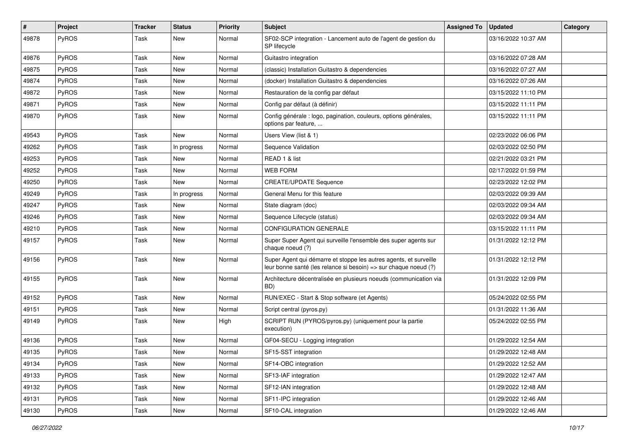| $\sharp$ | Project      | <b>Tracker</b> | <b>Status</b> | <b>Priority</b> | <b>Subject</b>                                                                                                                        | <b>Assigned To</b> | <b>Updated</b>      | Category |
|----------|--------------|----------------|---------------|-----------------|---------------------------------------------------------------------------------------------------------------------------------------|--------------------|---------------------|----------|
| 49878    | PyROS        | Task           | New           | Normal          | SF02-SCP integration - Lancement auto de l'agent de gestion du<br>SP lifecycle                                                        |                    | 03/16/2022 10:37 AM |          |
| 49876    | PyROS        | Task           | New           | Normal          | Guitastro integration                                                                                                                 |                    | 03/16/2022 07:28 AM |          |
| 49875    | <b>PyROS</b> | Task           | New           | Normal          | (classic) Installation Guitastro & dependencies                                                                                       |                    | 03/16/2022 07:27 AM |          |
| 49874    | PyROS        | Task           | New           | Normal          | (docker) Installation Guitastro & dependencies                                                                                        |                    | 03/16/2022 07:26 AM |          |
| 49872    | <b>PyROS</b> | Task           | New           | Normal          | Restauration de la config par défaut                                                                                                  |                    | 03/15/2022 11:10 PM |          |
| 49871    | PyROS        | Task           | <b>New</b>    | Normal          | Config par défaut (à définir)                                                                                                         |                    | 03/15/2022 11:11 PM |          |
| 49870    | PyROS        | Task           | New           | Normal          | Config générale : logo, pagination, couleurs, options générales,<br>options par feature,                                              |                    | 03/15/2022 11:11 PM |          |
| 49543    | PyROS        | Task           | New           | Normal          | Users View (list & 1)                                                                                                                 |                    | 02/23/2022 06:06 PM |          |
| 49262    | PyROS        | Task           | In progress   | Normal          | Sequence Validation                                                                                                                   |                    | 02/03/2022 02:50 PM |          |
| 49253    | PyROS        | Task           | New           | Normal          | READ 1 & list                                                                                                                         |                    | 02/21/2022 03:21 PM |          |
| 49252    | PyROS        | Task           | New           | Normal          | <b>WEB FORM</b>                                                                                                                       |                    | 02/17/2022 01:59 PM |          |
| 49250    | PyROS        | Task           | New           | Normal          | <b>CREATE/UPDATE Sequence</b>                                                                                                         |                    | 02/23/2022 12:02 PM |          |
| 49249    | PyROS        | Task           | In progress   | Normal          | General Menu for this feature                                                                                                         |                    | 02/03/2022 09:39 AM |          |
| 49247    | PyROS        | Task           | New           | Normal          | State diagram (doc)                                                                                                                   |                    | 02/03/2022 09:34 AM |          |
| 49246    | PyROS        | Task           | New           | Normal          | Sequence Lifecycle (status)                                                                                                           |                    | 02/03/2022 09:34 AM |          |
| 49210    | PyROS        | Task           | New           | Normal          | <b>CONFIGURATION GENERALE</b>                                                                                                         |                    | 03/15/2022 11:11 PM |          |
| 49157    | <b>PyROS</b> | Task           | New           | Normal          | Super Super Agent qui surveille l'ensemble des super agents sur<br>chaque noeud (?)                                                   |                    | 01/31/2022 12:12 PM |          |
| 49156    | PyROS        | Task           | New           | Normal          | Super Agent qui démarre et stoppe les autres agents, et surveille<br>leur bonne santé (les relance si besoin) => sur chaque noeud (?) |                    | 01/31/2022 12:12 PM |          |
| 49155    | PyROS        | Task           | <b>New</b>    | Normal          | Architecture décentralisée en plusieurs noeuds (communication via<br>BD)                                                              |                    | 01/31/2022 12:09 PM |          |
| 49152    | <b>PyROS</b> | Task           | <b>New</b>    | Normal          | RUN/EXEC - Start & Stop software (et Agents)                                                                                          |                    | 05/24/2022 02:55 PM |          |
| 49151    | PyROS        | Task           | New           | Normal          | Script central (pyros.py)                                                                                                             |                    | 01/31/2022 11:36 AM |          |
| 49149    | <b>PyROS</b> | Task           | New           | High            | SCRIPT RUN (PYROS/pyros.py) (uniquement pour la partie<br>execution)                                                                  |                    | 05/24/2022 02:55 PM |          |
| 49136    | PyROS        | Task           | New           | Normal          | GF04-SECU - Logging integration                                                                                                       |                    | 01/29/2022 12:54 AM |          |
| 49135    | PyROS        | Task           | New           | Normal          | SF15-SST integration                                                                                                                  |                    | 01/29/2022 12:48 AM |          |
| 49134    | PyROS        | Task           | New           | Normal          | SF14-OBC integration                                                                                                                  |                    | 01/29/2022 12:52 AM |          |
| 49133    | PyROS        | Task           | New           | Normal          | SF13-IAF integration                                                                                                                  |                    | 01/29/2022 12:47 AM |          |
| 49132    | PyROS        | Task           | New           | Normal          | SF12-IAN integration                                                                                                                  |                    | 01/29/2022 12:48 AM |          |
| 49131    | PyROS        | Task           | New           | Normal          | SF11-IPC integration                                                                                                                  |                    | 01/29/2022 12:46 AM |          |
| 49130    | PyROS        | Task           | New           | Normal          | SF10-CAL integration                                                                                                                  |                    | 01/29/2022 12:46 AM |          |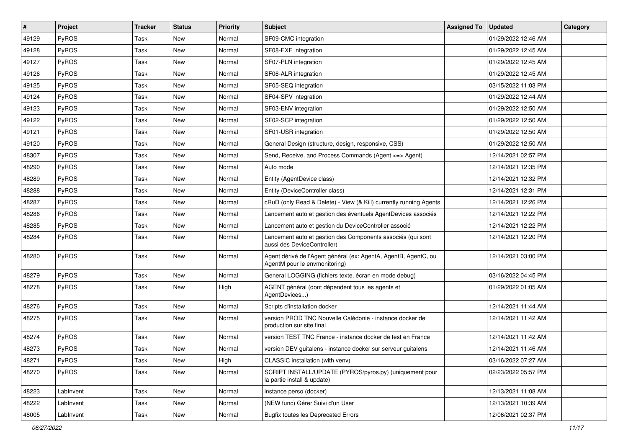| $\#$  | Project   | <b>Tracker</b> | <b>Status</b> | <b>Priority</b> | Subject                                                                                          | <b>Assigned To</b> | <b>Updated</b>      | Category |
|-------|-----------|----------------|---------------|-----------------|--------------------------------------------------------------------------------------------------|--------------------|---------------------|----------|
| 49129 | PyROS     | Task           | New           | Normal          | SF09-CMC integration                                                                             |                    | 01/29/2022 12:46 AM |          |
| 49128 | PyROS     | Task           | New           | Normal          | SF08-EXE integration                                                                             |                    | 01/29/2022 12:45 AM |          |
| 49127 | PyROS     | Task           | New           | Normal          | SF07-PLN integration                                                                             |                    | 01/29/2022 12:45 AM |          |
| 49126 | PyROS     | Task           | New           | Normal          | SF06-ALR integration                                                                             |                    | 01/29/2022 12:45 AM |          |
| 49125 | PyROS     | Task           | <b>New</b>    | Normal          | SF05-SEQ integration                                                                             |                    | 03/15/2022 11:03 PM |          |
| 49124 | PyROS     | Task           | New           | Normal          | SF04-SPV integration                                                                             |                    | 01/29/2022 12:44 AM |          |
| 49123 | PyROS     | Task           | <b>New</b>    | Normal          | SF03-ENV integration                                                                             |                    | 01/29/2022 12:50 AM |          |
| 49122 | PyROS     | Task           | New           | Normal          | SF02-SCP integration                                                                             |                    | 01/29/2022 12:50 AM |          |
| 49121 | PyROS     | Task           | New           | Normal          | SF01-USR integration                                                                             |                    | 01/29/2022 12:50 AM |          |
| 49120 | PyROS     | Task           | New           | Normal          | General Design (structure, design, responsive, CSS)                                              |                    | 01/29/2022 12:50 AM |          |
| 48307 | PyROS     | Task           | New           | Normal          | Send, Receive, and Process Commands (Agent <= > Agent)                                           |                    | 12/14/2021 02:57 PM |          |
| 48290 | PyROS     | Task           | New           | Normal          | Auto mode                                                                                        |                    | 12/14/2021 12:35 PM |          |
| 48289 | PyROS     | Task           | New           | Normal          | Entity (AgentDevice class)                                                                       |                    | 12/14/2021 12:32 PM |          |
| 48288 | PyROS     | Task           | New           | Normal          | Entity (DeviceController class)                                                                  |                    | 12/14/2021 12:31 PM |          |
| 48287 | PyROS     | Task           | New           | Normal          | cRuD (only Read & Delete) - View (& Kill) currently running Agents                               |                    | 12/14/2021 12:26 PM |          |
| 48286 | PyROS     | Task           | New           | Normal          | Lancement auto et gestion des éventuels AgentDevices associés                                    |                    | 12/14/2021 12:22 PM |          |
| 48285 | PyROS     | Task           | New           | Normal          | Lancement auto et gestion du DeviceController associé                                            |                    | 12/14/2021 12:22 PM |          |
| 48284 | PyROS     | Task           | New           | Normal          | Lancement auto et gestion des Components associés (qui sont<br>aussi des DeviceController)       |                    | 12/14/2021 12:20 PM |          |
| 48280 | PyROS     | Task           | New           | Normal          | Agent dérivé de l'Agent général (ex: AgentA, AgentB, AgentC, ou<br>AgentM pour le envmonitoring) |                    | 12/14/2021 03:00 PM |          |
| 48279 | PyROS     | Task           | New           | Normal          | General LOGGING (fichiers texte, écran en mode debug)                                            |                    | 03/16/2022 04:45 PM |          |
| 48278 | PyROS     | Task           | New           | High            | AGENT général (dont dépendent tous les agents et<br>AgentDevices)                                |                    | 01/29/2022 01:05 AM |          |
| 48276 | PyROS     | Task           | New           | Normal          | Scripts d'installation docker                                                                    |                    | 12/14/2021 11:44 AM |          |
| 48275 | PyROS     | Task           | New           | Normal          | version PROD TNC Nouvelle Calédonie - instance docker de<br>production sur site final            |                    | 12/14/2021 11:42 AM |          |
| 48274 | PyROS     | Task           | New           | Normal          | version TEST TNC France - instance docker de test en France                                      |                    | 12/14/2021 11:42 AM |          |
| 48273 | PyROS     | Task           | New           | Normal          | version DEV guitalens - instance docker sur serveur guitalens                                    |                    | 12/14/2021 11:46 AM |          |
| 48271 | PyROS     | Task           | New           | High            | CLASSIC installation (with venv)                                                                 |                    | 03/16/2022 07:27 AM |          |
| 48270 | PyROS     | Task           | New           | Normal          | SCRIPT INSTALL/UPDATE (PYROS/pyros.py) (uniquement pour<br>la partie install & update)           |                    | 02/23/2022 05:57 PM |          |
| 48223 | LabInvent | Task           | New           | Normal          | instance perso (docker)                                                                          |                    | 12/13/2021 11:08 AM |          |
| 48222 | LabInvent | Task           | New           | Normal          | (NEW func) Gérer Suivi d'un User                                                                 |                    | 12/13/2021 10:39 AM |          |
| 48005 | LabInvent | Task           | New           | Normal          | <b>Bugfix toutes les Deprecated Errors</b>                                                       |                    | 12/06/2021 02:37 PM |          |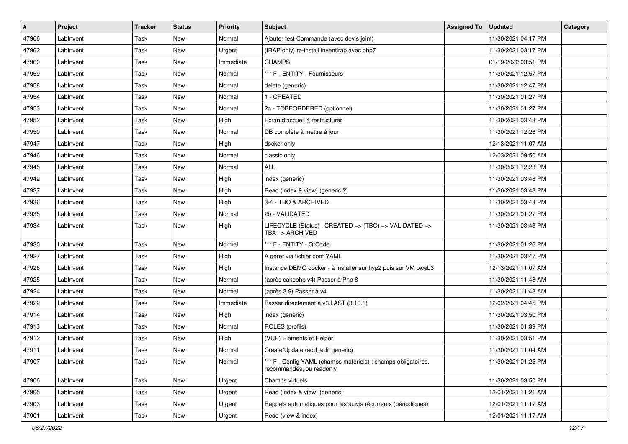| $\vert$ # | Project   | <b>Tracker</b> | <b>Status</b> | <b>Priority</b> | <b>Subject</b>                                                                            | <b>Assigned To</b> | <b>Updated</b>      | Category |
|-----------|-----------|----------------|---------------|-----------------|-------------------------------------------------------------------------------------------|--------------------|---------------------|----------|
| 47966     | LabInvent | Task           | New           | Normal          | Ajouter test Commande (avec devis joint)                                                  |                    | 11/30/2021 04:17 PM |          |
| 47962     | LabInvent | Task           | New           | Urgent          | (IRAP only) re-install inventirap avec php7                                               |                    | 11/30/2021 03:17 PM |          |
| 47960     | LabInvent | Task           | New           | Immediate       | <b>CHAMPS</b>                                                                             |                    | 01/19/2022 03:51 PM |          |
| 47959     | LabInvent | Task           | New           | Normal          | *** F - ENTITY - Fournisseurs                                                             |                    | 11/30/2021 12:57 PM |          |
| 47958     | LabInvent | Task           | New           | Normal          | delete (generic)                                                                          |                    | 11/30/2021 12:47 PM |          |
| 47954     | LabInvent | Task           | New           | Normal          | 1 - CREATED                                                                               |                    | 11/30/2021 01:27 PM |          |
| 47953     | LabInvent | Task           | <b>New</b>    | Normal          | 2a - TOBEORDERED (optionnel)                                                              |                    | 11/30/2021 01:27 PM |          |
| 47952     | LabInvent | Task           | New           | High            | Ecran d'accueil à restructurer                                                            |                    | 11/30/2021 03:43 PM |          |
| 47950     | LabInvent | Task           | New           | Normal          | DB complète à mettre à jour                                                               |                    | 11/30/2021 12:26 PM |          |
| 47947     | LabInvent | Task           | New           | High            | docker only                                                                               |                    | 12/13/2021 11:07 AM |          |
| 47946     | LabInvent | Task           | New           | Normal          | classic only                                                                              |                    | 12/03/2021 09:50 AM |          |
| 47945     | LabInvent | Task           | New           | Normal          | ALL                                                                                       |                    | 11/30/2021 12:23 PM |          |
| 47942     | LabInvent | Task           | New           | High            | index (generic)                                                                           |                    | 11/30/2021 03:48 PM |          |
| 47937     | LabInvent | Task           | New           | High            | Read (index & view) (generic ?)                                                           |                    | 11/30/2021 03:48 PM |          |
| 47936     | LabInvent | Task           | New           | High            | 3-4 - TBO & ARCHIVED                                                                      |                    | 11/30/2021 03:43 PM |          |
| 47935     | LabInvent | Task           | New           | Normal          | 2b - VALIDATED                                                                            |                    | 11/30/2021 01:27 PM |          |
| 47934     | LabInvent | Task           | New           | High            | LIFECYCLE (Status) : CREATED => (TBO) => VALIDATED =><br>TBA $\equiv$ ARCHIVED            |                    | 11/30/2021 03:43 PM |          |
| 47930     | LabInvent | Task           | New           | Normal          | *** F - ENTITY - QrCode                                                                   |                    | 11/30/2021 01:26 PM |          |
| 47927     | LabInvent | Task           | <b>New</b>    | High            | A gérer via fichier conf YAML                                                             |                    | 11/30/2021 03:47 PM |          |
| 47926     | LabInvent | Task           | New           | High            | Instance DEMO docker - à installer sur hyp2 puis sur VM pweb3                             |                    | 12/13/2021 11:07 AM |          |
| 47925     | LabInvent | Task           | New           | Normal          | (après cakephp v4) Passer à Php 8                                                         |                    | 11/30/2021 11:48 AM |          |
| 47924     | LabInvent | Task           | New           | Normal          | (après 3.9) Passer à v4                                                                   |                    | 11/30/2021 11:48 AM |          |
| 47922     | LabInvent | Task           | New           | Immediate       | Passer directement à v3.LAST (3.10.1)                                                     |                    | 12/02/2021 04:45 PM |          |
| 47914     | LabInvent | Task           | New           | High            | index (generic)                                                                           |                    | 11/30/2021 03:50 PM |          |
| 47913     | LabInvent | Task           | New           | Normal          | ROLES (profils)                                                                           |                    | 11/30/2021 01:39 PM |          |
| 47912     | LabInvent | Task           | New           | High            | (VUE) Elements et Helper                                                                  |                    | 11/30/2021 03:51 PM |          |
| 47911     | LabInvent | Task           | New           | Normal          | Create/Update (add_edit generic)                                                          |                    | 11/30/2021 11:04 AM |          |
| 47907     | LabInvent | Task           | New           | Normal          | *** F - Config YAML (champs materiels) : champs obligatoires,<br>recommandés, ou readonly |                    | 11/30/2021 01:25 PM |          |
| 47906     | LabInvent | Task           | New           | Urgent          | Champs virtuels                                                                           |                    | 11/30/2021 03:50 PM |          |
| 47905     | LabInvent | Task           | New           | Urgent          | Read (index & view) (generic)                                                             |                    | 12/01/2021 11:21 AM |          |
| 47903     | LabInvent | Task           | New           | Urgent          | Rappels automatiques pour les suivis récurrents (périodiques)                             |                    | 12/01/2021 11:17 AM |          |
| 47901     | LabInvent | Task           | New           | Urgent          | Read (view & index)                                                                       |                    | 12/01/2021 11:17 AM |          |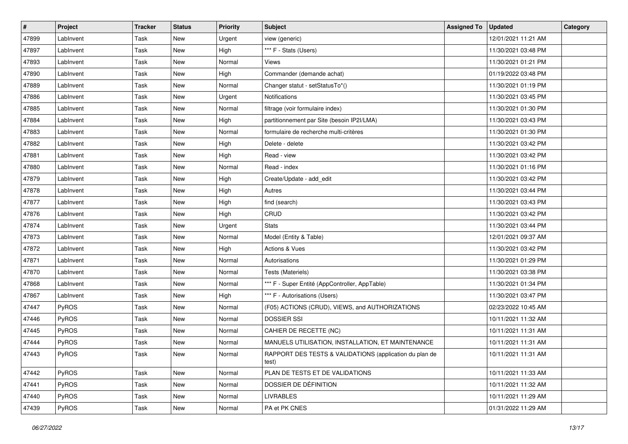| #     | Project   | Tracker | <b>Status</b> | <b>Priority</b> | Subject                                                          | <b>Assigned To</b> | <b>Updated</b>      | Category |
|-------|-----------|---------|---------------|-----------------|------------------------------------------------------------------|--------------------|---------------------|----------|
| 47899 | LabInvent | Task    | New           | Urgent          | view (generic)                                                   |                    | 12/01/2021 11:21 AM |          |
| 47897 | LabInvent | Task    | New           | High            | *** F - Stats (Users)                                            |                    | 11/30/2021 03:48 PM |          |
| 47893 | LabInvent | Task    | New           | Normal          | Views                                                            |                    | 11/30/2021 01:21 PM |          |
| 47890 | LabInvent | Task    | New           | High            | Commander (demande achat)                                        |                    | 01/19/2022 03:48 PM |          |
| 47889 | LabInvent | Task    | New           | Normal          | Changer statut - setStatusTo*()                                  |                    | 11/30/2021 01:19 PM |          |
| 47886 | LabInvent | Task    | New           | Urgent          | Notifications                                                    |                    | 11/30/2021 03:45 PM |          |
| 47885 | LabInvent | Task    | New           | Normal          | filtrage (voir formulaire index)                                 |                    | 11/30/2021 01:30 PM |          |
| 47884 | LabInvent | Task    | New           | High            | partitionnement par Site (besoin IP2I/LMA)                       |                    | 11/30/2021 03:43 PM |          |
| 47883 | LabInvent | Task    | New           | Normal          | formulaire de recherche multi-critères                           |                    | 11/30/2021 01:30 PM |          |
| 47882 | LabInvent | Task    | New           | High            | Delete - delete                                                  |                    | 11/30/2021 03:42 PM |          |
| 47881 | LabInvent | Task    | New           | High            | Read - view                                                      |                    | 11/30/2021 03:42 PM |          |
| 47880 | LabInvent | Task    | New           | Normal          | Read - index                                                     |                    | 11/30/2021 01:16 PM |          |
| 47879 | LabInvent | Task    | New           | High            | Create/Update - add_edit                                         |                    | 11/30/2021 03:42 PM |          |
| 47878 | LabInvent | Task    | New           | High            | Autres                                                           |                    | 11/30/2021 03:44 PM |          |
| 47877 | LabInvent | Task    | New           | High            | find (search)                                                    |                    | 11/30/2021 03:43 PM |          |
| 47876 | LabInvent | Task    | New           | High            | CRUD                                                             |                    | 11/30/2021 03:42 PM |          |
| 47874 | LabInvent | Task    | New           | Urgent          | <b>Stats</b>                                                     |                    | 11/30/2021 03:44 PM |          |
| 47873 | LabInvent | Task    | New           | Normal          | Model (Entity & Table)                                           |                    | 12/01/2021 09:37 AM |          |
| 47872 | LabInvent | Task    | New           | High            | Actions & Vues                                                   |                    | 11/30/2021 03:42 PM |          |
| 47871 | LabInvent | Task    | New           | Normal          | Autorisations                                                    |                    | 11/30/2021 01:29 PM |          |
| 47870 | LabInvent | Task    | New           | Normal          | Tests (Materiels)                                                |                    | 11/30/2021 03:38 PM |          |
| 47868 | LabInvent | Task    | New           | Normal          | *** F - Super Entité (AppController, AppTable)                   |                    | 11/30/2021 01:34 PM |          |
| 47867 | LabInvent | Task    | New           | High            | *** F - Autorisations (Users)                                    |                    | 11/30/2021 03:47 PM |          |
| 47447 | PyROS     | Task    | New           | Normal          | (F05) ACTIONS (CRUD), VIEWS, and AUTHORIZATIONS                  |                    | 02/23/2022 10:45 AM |          |
| 47446 | PyROS     | Task    | New           | Normal          | <b>DOSSIER SSI</b>                                               |                    | 10/11/2021 11:32 AM |          |
| 47445 | PyROS     | Task    | New           | Normal          | CAHIER DE RECETTE (NC)                                           |                    | 10/11/2021 11:31 AM |          |
| 47444 | PyROS     | Task    | New           | Normal          | MANUELS UTILISATION, INSTALLATION, ET MAINTENANCE                |                    | 10/11/2021 11:31 AM |          |
| 47443 | PyROS     | Task    | New           | Normal          | RAPPORT DES TESTS & VALIDATIONS (application du plan de<br>test) |                    | 10/11/2021 11:31 AM |          |
| 47442 | PyROS     | Task    | New           | Normal          | PLAN DE TESTS ET DE VALIDATIONS                                  |                    | 10/11/2021 11:33 AM |          |
| 47441 | PyROS     | Task    | New           | Normal          | DOSSIER DE DÉFINITION                                            |                    | 10/11/2021 11:32 AM |          |
| 47440 | PyROS     | Task    | New           | Normal          | <b>LIVRABLES</b>                                                 |                    | 10/11/2021 11:29 AM |          |
| 47439 | PyROS     | Task    | New           | Normal          | PA et PK CNES                                                    |                    | 01/31/2022 11:29 AM |          |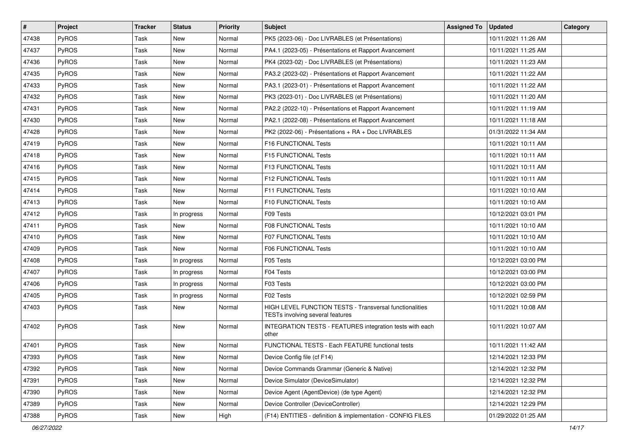| #     | Project      | <b>Tracker</b> | <b>Status</b> | <b>Priority</b> | <b>Subject</b>                                                                              | <b>Assigned To</b> | <b>Updated</b>      | Category |
|-------|--------------|----------------|---------------|-----------------|---------------------------------------------------------------------------------------------|--------------------|---------------------|----------|
| 47438 | PyROS        | Task           | New           | Normal          | PK5 (2023-06) - Doc LIVRABLES (et Présentations)                                            |                    | 10/11/2021 11:26 AM |          |
| 47437 | PyROS        | Task           | <b>New</b>    | Normal          | PA4.1 (2023-05) - Présentations et Rapport Avancement                                       |                    | 10/11/2021 11:25 AM |          |
| 47436 | PyROS        | Task           | New           | Normal          | PK4 (2023-02) - Doc LIVRABLES (et Présentations)                                            |                    | 10/11/2021 11:23 AM |          |
| 47435 | PyROS        | Task           | New           | Normal          | PA3.2 (2023-02) - Présentations et Rapport Avancement                                       |                    | 10/11/2021 11:22 AM |          |
| 47433 | PyROS        | Task           | New           | Normal          | PA3.1 (2023-01) - Présentations et Rapport Avancement                                       |                    | 10/11/2021 11:22 AM |          |
| 47432 | PyROS        | Task           | New           | Normal          | PK3 (2023-01) - Doc LIVRABLES (et Présentations)                                            |                    | 10/11/2021 11:20 AM |          |
| 47431 | PyROS        | Task           | New           | Normal          | PA2.2 (2022-10) - Présentations et Rapport Avancement                                       |                    | 10/11/2021 11:19 AM |          |
| 47430 | PyROS        | Task           | New           | Normal          | PA2.1 (2022-08) - Présentations et Rapport Avancement                                       |                    | 10/11/2021 11:18 AM |          |
| 47428 | PyROS        | Task           | New           | Normal          | PK2 (2022-06) - Présentations + RA + Doc LIVRABLES                                          |                    | 01/31/2022 11:34 AM |          |
| 47419 | PyROS        | Task           | New           | Normal          | F16 FUNCTIONAL Tests                                                                        |                    | 10/11/2021 10:11 AM |          |
| 47418 | PyROS        | Task           | New           | Normal          | F15 FUNCTIONAL Tests                                                                        |                    | 10/11/2021 10:11 AM |          |
| 47416 | PyROS        | Task           | New           | Normal          | F13 FUNCTIONAL Tests                                                                        |                    | 10/11/2021 10:11 AM |          |
| 47415 | PyROS        | Task           | New           | Normal          | F12 FUNCTIONAL Tests                                                                        |                    | 10/11/2021 10:11 AM |          |
| 47414 | PyROS        | Task           | New           | Normal          | <b>F11 FUNCTIONAL Tests</b>                                                                 |                    | 10/11/2021 10:10 AM |          |
| 47413 | PyROS        | Task           | New           | Normal          | F10 FUNCTIONAL Tests                                                                        |                    | 10/11/2021 10:10 AM |          |
| 47412 | PyROS        | Task           | In progress   | Normal          | F09 Tests                                                                                   |                    | 10/12/2021 03:01 PM |          |
| 47411 | PyROS        | Task           | New           | Normal          | F08 FUNCTIONAL Tests                                                                        |                    | 10/11/2021 10:10 AM |          |
| 47410 | PyROS        | Task           | New           | Normal          | F07 FUNCTIONAL Tests                                                                        |                    | 10/11/2021 10:10 AM |          |
| 47409 | PyROS        | Task           | New           | Normal          | F06 FUNCTIONAL Tests                                                                        |                    | 10/11/2021 10:10 AM |          |
| 47408 | PyROS        | Task           | In progress   | Normal          | F05 Tests                                                                                   |                    | 10/12/2021 03:00 PM |          |
| 47407 | PyROS        | Task           | In progress   | Normal          | F04 Tests                                                                                   |                    | 10/12/2021 03:00 PM |          |
| 47406 | PyROS        | Task           | In progress   | Normal          | F03 Tests                                                                                   |                    | 10/12/2021 03:00 PM |          |
| 47405 | PyROS        | Task           | In progress   | Normal          | F02 Tests                                                                                   |                    | 10/12/2021 02:59 PM |          |
| 47403 | PyROS        | Task           | New           | Normal          | HIGH LEVEL FUNCTION TESTS - Transversal functionalities<br>TESTs involving several features |                    | 10/11/2021 10:08 AM |          |
| 47402 | PyROS        | Task           | New           | Normal          | INTEGRATION TESTS - FEATURES integration tests with each<br>other                           |                    | 10/11/2021 10:07 AM |          |
| 47401 | <b>PyROS</b> | Task           | <b>New</b>    | Normal          | FUNCTIONAL TESTS - Each FEATURE functional tests                                            |                    | 10/11/2021 11:42 AM |          |
| 47393 | PyROS        | Task           | New           | Normal          | Device Config file (cf F14)                                                                 |                    | 12/14/2021 12:33 PM |          |
| 47392 | PyROS        | Task           | New           | Normal          | Device Commands Grammar (Generic & Native)                                                  |                    | 12/14/2021 12:32 PM |          |
| 47391 | PyROS        | Task           | New           | Normal          | Device Simulator (DeviceSimulator)                                                          |                    | 12/14/2021 12:32 PM |          |
| 47390 | PyROS        | Task           | New           | Normal          | Device Agent (AgentDevice) (de type Agent)                                                  |                    | 12/14/2021 12:32 PM |          |
| 47389 | PyROS        | Task           | New           | Normal          | Device Controller (DeviceController)                                                        |                    | 12/14/2021 12:29 PM |          |
| 47388 | PyROS        | Task           | New           | High            | (F14) ENTITIES - definition & implementation - CONFIG FILES                                 |                    | 01/29/2022 01:25 AM |          |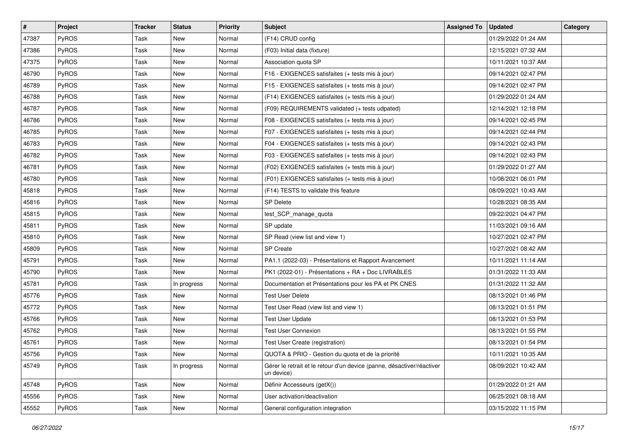| #     | <b>Project</b> | Tracker | <b>Status</b> | <b>Priority</b> | Subject                                                                              | <b>Assigned To</b> | <b>Updated</b>      | Category |
|-------|----------------|---------|---------------|-----------------|--------------------------------------------------------------------------------------|--------------------|---------------------|----------|
| 47387 | PyROS          | Task    | New           | Normal          | (F14) CRUD config                                                                    |                    | 01/29/2022 01:24 AM |          |
| 47386 | PyROS          | Task    | New           | Normal          | (F03) Initial data (fixture)                                                         |                    | 12/15/2021 07:32 AM |          |
| 47375 | <b>PyROS</b>   | Task    | New           | Normal          | Association quota SP                                                                 |                    | 10/11/2021 10:37 AM |          |
| 46790 | PyROS          | Task    | New           | Normal          | F16 - EXIGENCES satisfaites (+ tests mis à jour)                                     |                    | 09/14/2021 02:47 PM |          |
| 46789 | PyROS          | Task    | New           | Normal          | F15 - EXIGENCES satisfaites (+ tests mis à jour)                                     |                    | 09/14/2021 02:47 PM |          |
| 46788 | PyROS          | Task    | New           | Normal          | (F14) EXIGENCES satisfaites (+ tests mis à jour)                                     |                    | 01/29/2022 01:24 AM |          |
| 46787 | PyROS          | Task    | New           | Normal          | (F09) REQUIREMENTS validated (+ tests udpated)                                       |                    | 12/14/2021 12:18 PM |          |
| 46786 | <b>PyROS</b>   | Task    | New           | Normal          | F08 - EXIGENCES satisfaites (+ tests mis à jour)                                     |                    | 09/14/2021 02:45 PM |          |
| 46785 | PyROS          | Task    | New           | Normal          | F07 - EXIGENCES satisfaites (+ tests mis à jour)                                     |                    | 09/14/2021 02:44 PM |          |
| 46783 | PyROS          | Task    | New           | Normal          | F04 - EXIGENCES satisfaites (+ tests mis à jour)                                     |                    | 09/14/2021 02:43 PM |          |
| 46782 | PyROS          | Task    | New           | Normal          | F03 - EXIGENCES satisfaites (+ tests mis à jour)                                     |                    | 09/14/2021 02:43 PM |          |
| 46781 | PyROS          | Task    | New           | Normal          | (F02) EXIGENCES satisfaites (+ tests mis à jour)                                     |                    | 01/29/2022 01:27 AM |          |
| 46780 | <b>PyROS</b>   | Task    | New           | Normal          | (F01) EXIGENCES satisfaites (+ tests mis à jour)                                     |                    | 10/08/2021 06:01 PM |          |
| 45818 | PyROS          | Task    | New           | Normal          | (F14) TESTS to validate this feature                                                 |                    | 08/09/2021 10:43 AM |          |
| 45816 | PyROS          | Task    | New           | Normal          | <b>SP Delete</b>                                                                     |                    | 10/28/2021 08:35 AM |          |
| 45815 | PyROS          | Task    | New           | Normal          | test_SCP_manage_quota                                                                |                    | 09/22/2021 04:47 PM |          |
| 45811 | PyROS          | Task    | New           | Normal          | SP update                                                                            |                    | 11/03/2021 09:16 AM |          |
| 45810 | PyROS          | Task    | New           | Normal          | SP Read (view list and view 1)                                                       |                    | 10/27/2021 02:47 PM |          |
| 45809 | PyROS          | Task    | New           | Normal          | <b>SP</b> Create                                                                     |                    | 10/27/2021 08:42 AM |          |
| 45791 | PyROS          | Task    | New           | Normal          | PA1.1 (2022-03) - Présentations et Rapport Avancement                                |                    | 10/11/2021 11:14 AM |          |
| 45790 | <b>PyROS</b>   | Task    | New           | Normal          | PK1 (2022-01) - Présentations + RA + Doc LIVRABLES                                   |                    | 01/31/2022 11:33 AM |          |
| 45781 | PyROS          | Task    | In progress   | Normal          | Documentation et Présentations pour les PA et PK CNES                                |                    | 01/31/2022 11:32 AM |          |
| 45776 | <b>PyROS</b>   | Task    | New           | Normal          | <b>Test User Delete</b>                                                              |                    | 08/13/2021 01:46 PM |          |
| 45772 | PyROS          | Task    | New           | Normal          | Test User Read (view list and view 1)                                                |                    | 08/13/2021 01:51 PM |          |
| 45766 | PyROS          | Task    | New           | Normal          | <b>Test User Update</b>                                                              |                    | 08/13/2021 01:53 PM |          |
| 45762 | <b>PyROS</b>   | Task    | New           | Normal          | <b>Test User Connexion</b>                                                           |                    | 08/13/2021 01:55 PM |          |
| 45761 | PyROS          | Task    | New           | Normal          | Test User Create (registration)                                                      |                    | 08/13/2021 01:54 PM |          |
| 45756 | PyROS          | Task    | New           | Normal          | QUOTA & PRIO - Gestion du quota et de la priorité                                    |                    | 10/11/2021 10:35 AM |          |
| 45749 | PyROS          | Task    | In progress   | Normal          | Gérer le retrait et le retour d'un device (panne, désactiver/réactiver<br>un device) |                    | 08/09/2021 10:42 AM |          |
| 45748 | PyROS          | Task    | New           | Normal          | Définir Accesseurs (getX())                                                          |                    | 01/29/2022 01:21 AM |          |
| 45556 | PyROS          | Task    | New           | Normal          | User activation/deactivation                                                         |                    | 06/25/2021 08:18 AM |          |
| 45552 | PyROS          | Task    | New           | Normal          | General configuration integration                                                    |                    | 03/15/2022 11:15 PM |          |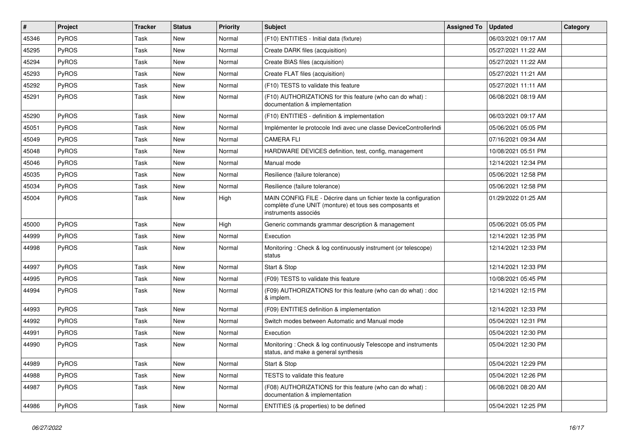| #     | Project      | <b>Tracker</b> | <b>Status</b> | <b>Priority</b> | <b>Subject</b>                                                                                                                                       | <b>Assigned To</b> | <b>Updated</b>      | Category |
|-------|--------------|----------------|---------------|-----------------|------------------------------------------------------------------------------------------------------------------------------------------------------|--------------------|---------------------|----------|
| 45346 | PyROS        | Task           | New           | Normal          | (F10) ENTITIES - Initial data (fixture)                                                                                                              |                    | 06/03/2021 09:17 AM |          |
| 45295 | PyROS        | Task           | <b>New</b>    | Normal          | Create DARK files (acquisition)                                                                                                                      |                    | 05/27/2021 11:22 AM |          |
| 45294 | PyROS        | Task           | New           | Normal          | Create BIAS files (acquisition)                                                                                                                      |                    | 05/27/2021 11:22 AM |          |
| 45293 | PyROS        | Task           | New           | Normal          | Create FLAT files (acquisition)                                                                                                                      |                    | 05/27/2021 11:21 AM |          |
| 45292 | PyROS        | Task           | New           | Normal          | (F10) TESTS to validate this feature                                                                                                                 |                    | 05/27/2021 11:11 AM |          |
| 45291 | PyROS        | Task           | New           | Normal          | (F10) AUTHORIZATIONS for this feature (who can do what) :<br>documentation & implementation                                                          |                    | 06/08/2021 08:19 AM |          |
| 45290 | PyROS        | Task           | New           | Normal          | (F10) ENTITIES - definition & implementation                                                                                                         |                    | 06/03/2021 09:17 AM |          |
| 45051 | PyROS        | Task           | New           | Normal          | Implémenter le protocole Indi avec une classe DeviceControllerIndi                                                                                   |                    | 05/06/2021 05:05 PM |          |
| 45049 | PyROS        | Task           | <b>New</b>    | Normal          | <b>CAMERA FLI</b>                                                                                                                                    |                    | 07/16/2021 09:34 AM |          |
| 45048 | PyROS        | Task           | New           | Normal          | HARDWARE DEVICES definition, test, config, management                                                                                                |                    | 10/08/2021 05:51 PM |          |
| 45046 | PyROS        | Task           | New           | Normal          | Manual mode                                                                                                                                          |                    | 12/14/2021 12:34 PM |          |
| 45035 | PyROS        | Task           | New           | Normal          | Resilience (failure tolerance)                                                                                                                       |                    | 05/06/2021 12:58 PM |          |
| 45034 | PyROS        | Task           | New           | Normal          | Resilience (failure tolerance)                                                                                                                       |                    | 05/06/2021 12:58 PM |          |
| 45004 | PyROS        | Task           | <b>New</b>    | High            | MAIN CONFIG FILE - Décrire dans un fichier texte la configuration<br>complète d'une UNIT (monture) et tous ses composants et<br>instruments associés |                    | 01/29/2022 01:25 AM |          |
| 45000 | PyROS        | Task           | New           | High            | Generic commands grammar description & management                                                                                                    |                    | 05/06/2021 05:05 PM |          |
| 44999 | PyROS        | Task           | New           | Normal          | Execution                                                                                                                                            |                    | 12/14/2021 12:35 PM |          |
| 44998 | PyROS        | Task           | New           | Normal          | Monitoring: Check & log continuously instrument (or telescope)<br>status                                                                             |                    | 12/14/2021 12:33 PM |          |
| 44997 | PyROS        | Task           | New           | Normal          | Start & Stop                                                                                                                                         |                    | 12/14/2021 12:33 PM |          |
| 44995 | PyROS        | Task           | New           | Normal          | (F09) TESTS to validate this feature                                                                                                                 |                    | 10/08/2021 05:45 PM |          |
| 44994 | <b>PyROS</b> | Task           | New           | Normal          | (F09) AUTHORIZATIONS for this feature (who can do what) : doc<br>& implem.                                                                           |                    | 12/14/2021 12:15 PM |          |
| 44993 | PyROS        | Task           | <b>New</b>    | Normal          | (F09) ENTITIES definition & implementation                                                                                                           |                    | 12/14/2021 12:33 PM |          |
| 44992 | PyROS        | Task           | New           | Normal          | Switch modes between Automatic and Manual mode                                                                                                       |                    | 05/04/2021 12:31 PM |          |
| 44991 | PyROS        | Task           | <b>New</b>    | Normal          | Execution                                                                                                                                            |                    | 05/04/2021 12:30 PM |          |
| 44990 | <b>PyROS</b> | Task           | New           | Normal          | Monitoring: Check & log continuously Telescope and instruments<br>status, and make a general synthesis                                               |                    | 05/04/2021 12:30 PM |          |
| 44989 | PyROS        | Task           | <b>New</b>    | Normal          | Start & Stop                                                                                                                                         |                    | 05/04/2021 12:29 PM |          |
| 44988 | PyROS        | Task           | New           | Normal          | TESTS to validate this feature                                                                                                                       |                    | 05/04/2021 12:26 PM |          |
| 44987 | PyROS        | Task           | New           | Normal          | (F08) AUTHORIZATIONS for this feature (who can do what) :<br>documentation & implementation                                                          |                    | 06/08/2021 08:20 AM |          |
| 44986 | PyROS        | Task           | New           | Normal          | ENTITIES (& properties) to be defined                                                                                                                |                    | 05/04/2021 12:25 PM |          |